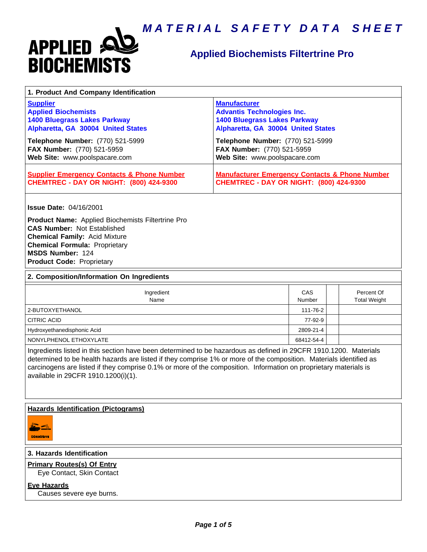

# **Applied Biochemists Filtertrine Pro**

| 1. Product And Company Identification                                                                                                                                                                                                                                                                                                                                                             |                                                                                                                                       |               |                                   |  |
|---------------------------------------------------------------------------------------------------------------------------------------------------------------------------------------------------------------------------------------------------------------------------------------------------------------------------------------------------------------------------------------------------|---------------------------------------------------------------------------------------------------------------------------------------|---------------|-----------------------------------|--|
| <b>Supplier</b><br><b>Applied Biochemists</b><br><b>1400 Bluegrass Lakes Parkway</b><br>Alpharetta, GA 30004 United States                                                                                                                                                                                                                                                                        | <b>Manufacturer</b><br><b>Advantis Technologies Inc.</b><br><b>1400 Bluegrass Lakes Parkway</b><br>Alpharetta, GA 30004 United States |               |                                   |  |
| Telephone Number: (770) 521-5999<br>FAX Number: (770) 521-5959<br>Web Site: www.poolspacare.com                                                                                                                                                                                                                                                                                                   | Telephone Number: (770) 521-5999<br>FAX Number: (770) 521-5959<br>Web Site: www.poolspacare.com                                       |               |                                   |  |
| <b>Supplier Emergency Contacts &amp; Phone Number</b><br><b>CHEMTREC - DAY OR NIGHT: (800) 424-9300</b>                                                                                                                                                                                                                                                                                           | <b>Manufacturer Emergency Contacts &amp; Phone Number</b><br><b>CHEMTREC - DAY OR NIGHT: (800) 424-9300</b>                           |               |                                   |  |
| <b>Issue Date: 04/16/2001</b><br><b>Product Name:</b> Applied Biochemists Filtertrine Pro<br><b>CAS Number: Not Established</b><br><b>Chemical Family: Acid Mixture</b><br><b>Chemical Formula: Proprietary</b><br>MSDS Number: 124<br><b>Product Code: Proprietary</b>                                                                                                                           |                                                                                                                                       |               |                                   |  |
| 2. Composition/Information On Ingredients                                                                                                                                                                                                                                                                                                                                                         |                                                                                                                                       |               |                                   |  |
| Ingredient<br>Name                                                                                                                                                                                                                                                                                                                                                                                |                                                                                                                                       | CAS<br>Number | Percent Of<br><b>Total Weight</b> |  |
| 2-BUTOXYETHANOL                                                                                                                                                                                                                                                                                                                                                                                   |                                                                                                                                       | 111-76-2      |                                   |  |
| <b>CITRIC ACID</b>                                                                                                                                                                                                                                                                                                                                                                                |                                                                                                                                       | 77-92-9       |                                   |  |
| Hydroxyethanedisphonic Acid                                                                                                                                                                                                                                                                                                                                                                       |                                                                                                                                       | 2809-21-4     |                                   |  |
| NONYLPHENOL ETHOXYLATE<br>68412-54-4                                                                                                                                                                                                                                                                                                                                                              |                                                                                                                                       |               |                                   |  |
| Ingredients listed in this section have been determined to be hazardous as defined in 29CFR 1910.1200. Materials<br>determined to be health hazards are listed if they comprise 1% or more of the composition. Materials identified as<br>carcinogens are listed if they comprise 0.1% or more of the composition. Information on proprietary materials is<br>available in 29CFR 1910.1200(i)(1). |                                                                                                                                       |               |                                   |  |
| <b>Hazards Identification (Pictograms)</b><br>CORROSIVE                                                                                                                                                                                                                                                                                                                                           |                                                                                                                                       |               |                                   |  |
| 3. Hazards Identification                                                                                                                                                                                                                                                                                                                                                                         |                                                                                                                                       |               |                                   |  |
| <b>Primary Routes(s) Of Entry</b>                                                                                                                                                                                                                                                                                                                                                                 |                                                                                                                                       |               |                                   |  |
| Eye Contact, Skin Contact                                                                                                                                                                                                                                                                                                                                                                         |                                                                                                                                       |               |                                   |  |

**Eye Hazards** Causes severe eye burns.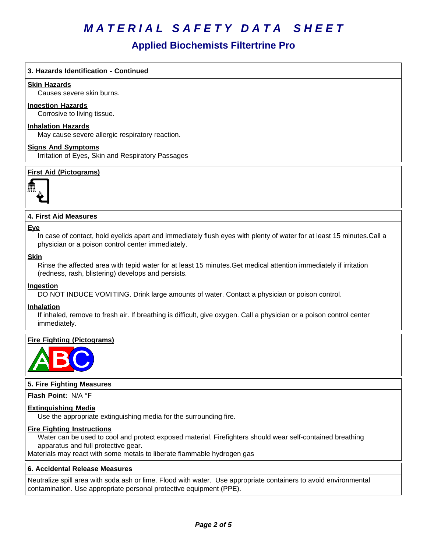## **Applied Biochemists Filtertrine Pro**

### **3. Hazards Identification - Continued**

#### **Skin Hazards**

Causes severe skin burns.

#### **Ingestion Hazards**

Corrosive to living tissue.

#### **Inhalation Hazards**

May cause severe allergic respiratory reaction.

#### **Signs And Symptoms**

Irritation of Eyes, Skin and Respiratory Passages

### **First Aid (Pictograms)**



### **4. First Aid Measures**

#### **Eye**

In case of contact, hold eyelids apart and immediately flush eyes with plenty of water for at least 15 minutes.Call a physician or a poison control center immediately.

### **Skin**

Rinse the affected area with tepid water for at least 15 minutes.Get medical attention immediately if irritation (redness, rash, blistering) develops and persists.

#### **Ingestion**

DO NOT INDUCE VOMITING. Drink large amounts of water. Contact a physician or poison control.

#### **Inhalation**

If inhaled, remove to fresh air. If breathing is difficult, give oxygen. Call a physician or a poison control center immediately.

#### **Fire Fighting (Pictograms)**



#### **5. Fire Fighting Measures**

**Flash Point:** N/A°F

#### **Extinguishing Media**

Use the appropriate extinguishing media for the surrounding fire.

#### **Fire Fighting Instructions**

Water can be used to cool and protect exposed material. Firefighters should wear self-contained breathing apparatus and full protective gear.

Materials may react with some metals to liberate flammable hydrogen gas

#### **6.Accidental ReleaseMeasures**

Neutralize spill area with soda ash or lime. Flood with water. Use appropriate containers to avoid environmental contamination. Use appropriate personal protective equipment (PPE).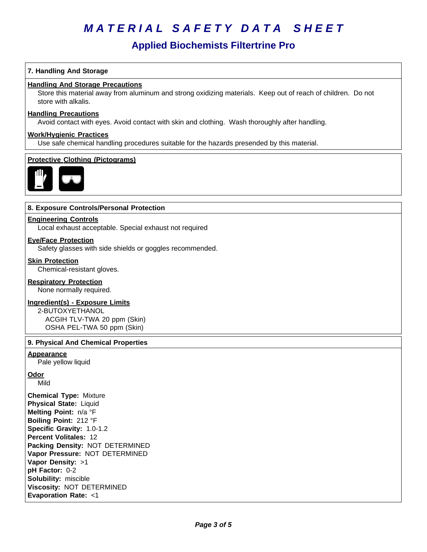## **Applied Biochemists Filtertrine Pro**

### **7. Handling And Storage**

### **Handling And Storage Precautions**

Store this material away from aluminum and strong oxidizing materials. Keep out of reach of children. Do not store with alkalis.

## **Handling Precautions**

Avoid contact with eyes. Avoid contact with skin and clothing. Wash thoroughly after handling.

#### **Work/Hygienic Practices**

Use safe chemical handling procedures suitable for the hazards presended by this material.

#### **Protective Clothing (Pictograms)**



#### **8. Exposure Controls/Personal Protection**

#### **Engineering Controls**

Local exhaust acceptable. Special exhaust not required

#### **Eye/Face Protection**

Safety glasses with side shields or goggles recommended.

#### **Skin Protection**

Chemical-resistant gloves.

#### **Respiratory Protection**

None normally required.

#### **Ingredient(s) - Exposure Limits**

2-BUTOXYETHANOL ACGIH TLV-TWA 20 ppm (Skin) OSHA PEL-TWA 50 ppm (Skin)

## **9. Physical And Chemical Properties**

#### **Appearance**

Pale yellow liquid

#### **Odor**

Mild

**Chemical Type:** Mixture **Physical State:** Liquid **Melting Point:** n/a°F **Boiling Point:** 212°F **Specific Gravity:** 1.0-1.2 **Percent Volitales:** 12 **Packing Density:** NOT DETERMINED **Vapor Pressure:** NOT DETERMINED **Vapor Density:** >1 **pH Factor:** 0-2 **Solubility: miscible Viscosity: NOT DETERMINED Evaporation Rate:** <1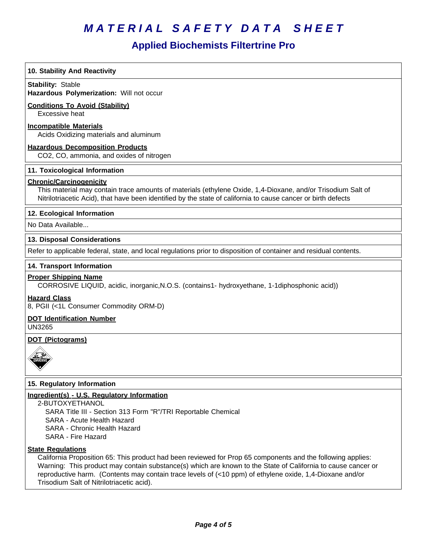# **Applied Biochemists Filtertrine Pro**

| 10. Stability And Reactivity                                                                                                                                                                                                                                   |
|----------------------------------------------------------------------------------------------------------------------------------------------------------------------------------------------------------------------------------------------------------------|
| <b>Stability: Stable</b><br>Hazardous Polymerization: Will not occur                                                                                                                                                                                           |
| <b>Conditions To Avoid (Stability)</b>                                                                                                                                                                                                                         |
| Excessive heat                                                                                                                                                                                                                                                 |
| <b>Incompatible Materials</b><br>Acids Oxidizing materials and aluminum                                                                                                                                                                                        |
| <b>Hazardous Decomposition Products</b>                                                                                                                                                                                                                        |
| CO2, CO, ammonia, and oxides of nitrogen                                                                                                                                                                                                                       |
| 11. Toxicological Information                                                                                                                                                                                                                                  |
| <b>Chronic/Carcinogenicity</b><br>This material may contain trace amounts of materials (ethylene Oxide, 1,4-Dioxane, and/or Trisodium Salt of<br>Nitrilotriacetic Acid), that have been identified by the state of california to cause cancer or birth defects |
|                                                                                                                                                                                                                                                                |
| 12. Ecological Information                                                                                                                                                                                                                                     |
| No Data Available                                                                                                                                                                                                                                              |
| 13. Disposal Considerations                                                                                                                                                                                                                                    |
| Refer to applicable federal, state, and local regulations prior to disposition of container and residual contents.                                                                                                                                             |
| 14. Transport Information                                                                                                                                                                                                                                      |
| <b>Proper Shipping Name</b><br>CORROSIVE LIQUID, acidic, inorganic, N.O.S. (contains1- hydroxyethane, 1-1diphosphonic acid))                                                                                                                                   |
| <b>Hazard Class</b><br>8, PGII (<1L Consumer Commodity ORM-D)                                                                                                                                                                                                  |
| <b>DOT Identification Number</b><br><b>UN3265</b>                                                                                                                                                                                                              |
| <b>DOT (Pictograms)</b>                                                                                                                                                                                                                                        |
|                                                                                                                                                                                                                                                                |
| 15. Regulatory Information                                                                                                                                                                                                                                     |
| Ingredient(s) - U.S. Regulatory Information                                                                                                                                                                                                                    |
| 2-BUTOXYETHANOL<br>SARA Title III - Section 313 Form "R"/TRI Reportable Chemical                                                                                                                                                                               |
| SARA - Acute Health Hazard                                                                                                                                                                                                                                     |
| <b>SARA - Chronic Health Hazard</b>                                                                                                                                                                                                                            |
| SARA - Fire Hazard                                                                                                                                                                                                                                             |
| <b>State Regulations</b>                                                                                                                                                                                                                                       |

California Proposition 65: This product had been reviewed for Prop 65 components and the following applies: Warning: This product may contain substance(s) which are known to the State of California to cause cancer or reproductive harm. (Contents may contain trace levels of (<10 ppm) of ethylene oxide, 1,4-Dioxane and/or Trisodium Salt of Nitrilotriacetic acid).